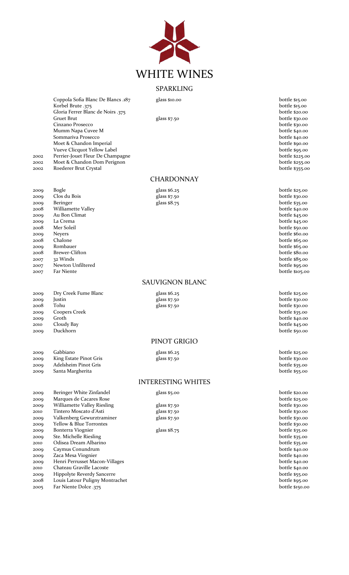

# SPARKLING

**CHARDONNAY** 

Coppola Sofia Blanc De Blancs .187 glass \$10.00 bottle \$15.00 bottle \$15.00 bottle \$15.00 bottle \$15.00 bottle \$15.00 bottle \$15.00 bottle \$15.00 bottle \$15.00 bottle \$15.00 bottle \$15.00 bottle \$15.00 bottle \$15.00 bottle Korbel Brute .375 bottle \$15.00 Gloria Ferrer Blanc de Noirs .375 bottle \$20.00 bottle \$20.00 bottle \$20.00 Gruet Brut Gruet Brut glass \$7.50 bottle \$30.00 bottle \$30.00 bottle \$30.00 bottle \$30.00 bottle \$30.00 bottle \$30.00 bottle \$30.00 bottle \$30.00 bottle \$30.00 bottle \$30.00 bottle \$30.00 bottle \$30.00 bottle \$30.00 bottle Cinzano Prosecco Mumm Napa Cuvee M bottle \$40.00 bottle \$40.00 bottle \$40.00 bottle \$40.00 bottle \$40.00 bottle \$40.00 bottle \$40.00 bottle \$40.00 bottle \$40.00 bottle \$40.00 bottle \$40.00 bottle \$40.00 bottle \$40.00 bottle \$40.00 bottle \$ Sommariva Prosecco Moet & Chandon Imperial bottle \$90.00 bottle \$90.00 bottle \$90.00 bottle \$90.00 bottle \$90.00 bottle \$95.00 bottle \$95.00 bottle \$95.00 bottle \$95.00 bottle \$95.00 bottle \$95.00 bottle \$95.00 bottle \$95.00 bottle \$95.00 bo Vueve Clicquot Yellow Label bottle \$95.00 2002 Perrier-Jouet Fleur De Champagne 2002 Moet & Chandon Dom Perignon bottle \$255.00

2002 Roederer Brut Crystal bottle \$355.00

2009 Bogle Bossey Bogle glass \$6.25 bottle \$25.00 bottle \$25.00 bottle \$25.00 bottle \$25.00 bottle \$25.00 bottle \$25.00 bottle \$26.00 close du Bois 2009 Clos du Bois glass \$7.50 bottle \$30.00 2009 Beringer and the settle state and settle state and settle state and settle state bottle state bottle state 2008 Williamette Valley bottle \$40.00 2009 Au Bon Climat and the second service of the service of the service of the service of the service of the service of the service of the service of the service of the service of the service of the service of the service 2009 La Crema bottle \$45.00 2008 Mer Soleil bottle \$50.00 Mer Soleil bottle \$50.00 Mer Soleil bottle \$50.00 Mer Soleil bottle \$50.00 Meyers 2009 Neyers bottle \$60.00 2008 Chalone bottle \$65.00 2009 Rombauer bottle \$65.00

## 2007 Far Niente bottle \$105.00

SAUVIGNON BLANC

#### 2009 Dry Creek Fume Blanc glass \$6.25 bottle \$25.00 2009 Justin glass \$7.50 bottle \$30.00 2008 Tohu glass \$7.50 bottle \$30.00 2009 Coopers Creek bottle \$35.00<br>2009 Groth bottle \$35.00 2009 Groth bottle \$40.00<br>2010 Cloudy Bay Cloudy Bay and the Second bottle \$40.00 2010 Cloudy Bay bottle \$45.00

| 2009 | Gabbiano               |
|------|------------------------|
| 2009 | King Estate Pinot Gris |
| 2009 | Adelsheim Pinot Gris   |
| 2000 | Santa Margherita       |

## 2009 Beringer White Zinfandel glass \$5.00 bottle \$20.00 2009 Marques de Cacares Rose bottle \$25.00 mm and the Same bottle \$25.00 mm and the Same bottle \$25.00 mm and the Same bottle \$25.00 mm and the Same bottle \$30.00 mm and the Same bottle \$30.00 mm and the Same bottle \$30.00 2009 Williamette Valley Riesling glass \$7.50 bottle \$30.00 2010 Tintero Moscato d'Asti glass \$7.50 bottle \$30.00 2009 Valkenberg Gewurztraminer 2009 Yellow & Blue Torrontes bottle \$30.00 2009 Bonterra Viognier and Europe and Sea States and Sea States and Sea States and Sea States and Sea States and Sea States and Sea States and Sea States and Sea States and Sea States and Sea States and Sea States and Sea 2009 Ste. Michelle Riesling bottle \$35.00

- 2010 Odisea Dream Albarino bottle \$35.00 2009 Caymus Conundrum 2009 *Zaca Mesa Viognier* bottle \$40.00 2009 Henri Perrusset Macon-Villages bottle \$40.00 2010 Chateau Graville Lacoste<br>
2009 Hippolyte Reverdy Sancerre<br>
bottle \$55.00 2009 Hippolyte Reverdy Sancerre 2008 Louis Latour Puligny Montrachet bottle \$95.00
- 2005 Far Niente Dolce .375 bottle \$150.00

| glass \$6.25 |
|--------------|
| glass \$7.50 |
| elass \$7.50 |

## PINOT GRIGIO

#### INTERESTING WHITES

| giass \$5.00                                   |
|------------------------------------------------|
| glass $$7.50$<br>glass $$7.50$<br>glass \$7.50 |
|                                                |

2008 Brewer-Clifton bottle \$80.00 bottle \$80.00 bottle \$80.00 bottle \$80.00 bottle \$80.00 bottle \$80.00 bottle \$80.00 bottle \$85.00 bottle \$85.00 bottle \$85.00 bottle \$85.00 bottle \$85.00 bottle \$85.00 bottle \$85.00 bottle 2007 32 Winds bottle \$85.00 2007 Newton Unfiltered bottle \$95.00

2009 Duckhorn bottle \$50.00

2009 Gabbiano glass \$6.25 bottle \$25.00  $_{\text{glass $7.50}}$  bottle  $_{\text{30.00}}$ bottle \$35.00 bottle \$55.00